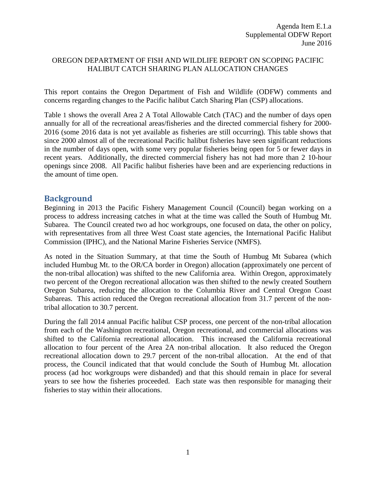#### OREGON DEPARTMENT OF FISH AND WILDLIFE REPORT ON SCOPING PACIFIC HALIBUT CATCH SHARING PLAN ALLOCATION CHANGES

This report contains the Oregon Department of Fish and Wildlife (ODFW) comments and concerns regarding changes to the Pacific halibut Catch Sharing Plan (CSP) allocations.

[Table](#page-0-0) 1 [shows the overall Area 2 A Total Allowable Catch \(TAC\) and the number of days open](#page-0-0)  annually for all of the recreational areas/fisheries and the directed commercial fishery for 2000- 2016 (some 2016 data is not yet available as fisheries are still occurring). This table shows that since 2000 almost all of the recreational Pacific halibut fisheries have seen significant reductions in the number of days open, with some very popular fisheries being open for 5 or fewer days in recent years. Additionally, the directed commercial fishery has not had more than 2 10-hour openings since 2008. All Pacific halibut fisheries have been and are experiencing reductions in the amount of time open.

## **Background**

Beginning in 2013 the Pacific Fishery Management Council (Council) began working on a process to address increasing catches in what at the time was called the South of Humbug Mt. Subarea. The Council created two ad hoc workgroups, one focused on data, the other on policy, with representatives from all three West Coast state agencies, the International Pacific Halibut Commission (IPHC), and the National Marine Fisheries Service (NMFS).

As noted in the Situation Summary, at that time the South of Humbug Mt Subarea (which included Humbug Mt. to the OR/CA border in Oregon) allocation (approximately one percent of the non-tribal allocation) was shifted to the new California area. Within Oregon, approximately two percent of the Oregon recreational allocation was then shifted to the newly created Southern Oregon Subarea, reducing the allocation to the Columbia River and Central Oregon Coast Subareas. This action reduced the Oregon recreational allocation from 31.7 percent of the nontribal allocation to 30.7 percent.

<span id="page-0-0"></span>During the fall 2014 annual Pacific halibut CSP process, one percent of the non-tribal allocation from each of the Washington recreational, Oregon recreational, and commercial allocations was shifted to the California recreational allocation. This increased the California recreational allocation to four percent of the Area 2A non-tribal allocation. It also reduced the Oregon recreational allocation down to 29.7 percent of the non-tribal allocation. At the end of that process, the Council indicated that that would conclude the South of Humbug Mt. allocation process (ad hoc workgroups were disbanded) and that this should remain in place for several years to see how the fisheries proceeded. Each state was then responsible for managing their fisheries to stay within their allocations.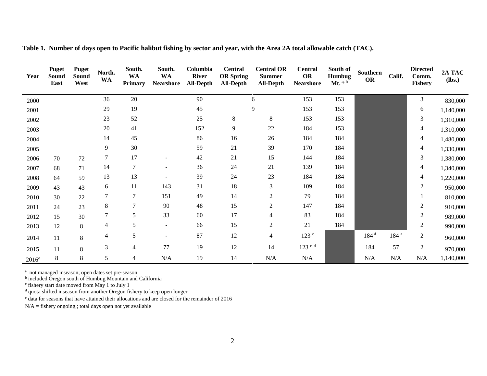| Year     | <b>Puget</b><br>Sound<br>East | Puget<br>Sound<br>West | North.<br><b>WA</b> | South.<br><b>WA</b><br><b>Primary</b> | South.<br><b>WA</b><br><b>Nearshore</b> | Columbia<br><b>River</b><br><b>All-Depth</b> | Central<br><b>OR Spring</b><br><b>All-Depth</b> | <b>Central OR</b><br><b>Summer</b><br><b>All-Depth</b> | Central<br>OR<br><b>Nearshore</b> | South of<br>Humbug<br>$Mt^{a, b}$ | Southern<br>OR   | Calif.           | <b>Directed</b><br>Comm.<br><b>Fishery</b> | 2A TAC<br>$(lbs.)$ |
|----------|-------------------------------|------------------------|---------------------|---------------------------------------|-----------------------------------------|----------------------------------------------|-------------------------------------------------|--------------------------------------------------------|-----------------------------------|-----------------------------------|------------------|------------------|--------------------------------------------|--------------------|
| 2000     |                               |                        | 36                  | $20\,$                                |                                         | 90                                           |                                                 | 6                                                      | 153                               | 153                               |                  |                  | 3                                          | 830,000            |
| 2001     |                               |                        | 29                  | 19                                    |                                         | 45                                           |                                                 | 9                                                      | 153                               | 153                               |                  |                  | 6                                          | 1,140,000          |
| 2002     |                               |                        | 23                  | 52                                    |                                         | 25                                           | $\,8\,$                                         | 8                                                      | 153                               | 153                               |                  |                  | 3                                          | 1,310,000          |
| 2003     |                               |                        | 20                  | 41                                    |                                         | 152                                          | 9                                               | 22                                                     | 184                               | 153                               |                  |                  | 4                                          | 1,310,000          |
| 2004     |                               |                        | 14                  | 45                                    |                                         | 86                                           | 16                                              | 26                                                     | 184                               | 184                               |                  |                  | 4                                          | 1,480,000          |
| 2005     |                               |                        | 9                   | 30                                    |                                         | 59                                           | 21                                              | 39                                                     | 170                               | 184                               |                  |                  | 4                                          | 1,330,000          |
| 2006     | 70                            | 72                     | $\tau$              | 17                                    |                                         | $42\,$                                       | 21                                              | 15                                                     | 144                               | 184                               |                  |                  | 3                                          | 1,380,000          |
| 2007     | 68                            | 71                     | 14                  | $\tau$                                |                                         | 36                                           | 24                                              | 21                                                     | 139                               | 184                               |                  |                  | 4                                          | 1,340,000          |
| 2008     | 64                            | 59                     | 13                  | 13                                    | $\overline{\phantom{a}}$                | 39                                           | 24                                              | 23                                                     | 184                               | 184                               |                  |                  | 4                                          | 1,220,000          |
| 2009     | 43                            | 43                     | 6                   | 11                                    | 143                                     | 31                                           | 18                                              | $\mathfrak{Z}$                                         | 109                               | 184                               |                  |                  | $\overline{c}$                             | 950,000            |
| 2010     | 30                            | 22                     | 7                   | $\tau$                                | 151                                     | 49                                           | 14                                              | $\overline{c}$                                         | 79                                | 184                               |                  |                  |                                            | 810,000            |
| 2011     | 24                            | 23                     | 8                   | 7                                     | 90                                      | $48\,$                                       | 15                                              | $\mathfrak{2}$                                         | 147                               | 184                               |                  |                  | $\overline{2}$                             | 910,000            |
| 2012     | 15                            | 30                     | 7                   | 5                                     | 33                                      | 60                                           | 17                                              | $\overline{4}$                                         | 83                                | 184                               |                  |                  | $\mathfrak{2}$                             | 989,000            |
| 2013     | 12                            | $8\,$                  | 4                   | 5                                     | $\sim$                                  | 66                                           | 15                                              | $\overline{c}$                                         | 21                                | 184                               |                  |                  | 2                                          | 990,000            |
| 2014     | 11                            | $8\,$                  | 4                   | $\sqrt{5}$                            | $\overline{\phantom{a}}$                | 87                                           | 12                                              | 4                                                      | 123 <sup>c</sup>                  |                                   | 184 <sup>d</sup> | $184$ $^{\rm a}$ | $\overline{c}$                             | 960,000            |
| 2015     | 11                            | $\,8\,$                | 3                   | $\overline{4}$                        | 77                                      | 19                                           | 12                                              | 14                                                     | $123$ c, d                        |                                   | 184              | 57               | $\overline{c}$                             | 970,000            |
| $2016^e$ | 8                             | $8\,$                  | 5                   | $\overline{4}$                        | $\rm N/A$                               | 19                                           | 14                                              | $\rm N/A$                                              | $\rm N/A$                         |                                   | $\rm N/A$        | N/A              | $\rm N/A$                                  | 1,140,000          |

**Table 1. Number of days open to Pacific halibut fishing by sector and year, with the Area 2A total allowable catch (TAC).**

a not managed inseason; open dates set pre-season

<sup>b</sup> included Oregon south of Humbug Mountain and California

<sup>c</sup> fishery start date moved from May 1 to July 1

<sup>d</sup> quota shifted inseason from another Oregon fishery to keep open longer

<sup>e</sup> data for seasons that have attained their allocations and are closed for the remainder of 2016

 $N/A =$  fishery ongoing,; total days open not yet available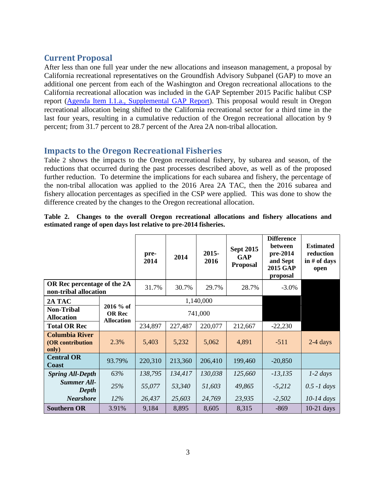# **Current Proposal**

After less than one full year under the new allocations and inseason management, a proposal by California recreational representatives on the Groundfish Advisory Subpanel (GAP) to move an additional one percent from each of the Washington and Oregon recreational allocations to the California recreational allocation was included in the GAP September 2015 Pacific halibut CSP report [\(Agenda Item I.1.a., Supplemental GAP Report\)](http://www.pcouncil.org/wp-content/uploads/2015/09/I1a_SUP_GAP_Rpt_SEPT2015BB.pdf). This proposal would result in Oregon recreational allocation being shifted to the California recreational sector for a third time in the last four years, resulting in a cumulative reduction of the Oregon recreational allocation by 9 percent; from 31.7 percent to 28.7 percent of the Area 2A non-tribal allocation.

## **Impacts to the Oregon Recreational Fisheries**

[Table 2](#page-2-0) shows the impacts to the Oregon recreational fishery, by subarea and season, of the reductions that occurred during the past processes described above, as well as of the proposed further reduction. To determine the implications for each subarea and fishery, the percentage of the non-tribal allocation was applied to the 2016 Area 2A TAC, then the 2016 subarea and fishery allocation percentages as specified in the CSP were applied. This was done to show the difference created by the changes to the Oregon recreational allocation.

|                                                      |                                                 | pre-<br>2014 | 2014      | $2015 -$<br>2016 | <b>Sept 2015</b><br><b>GAP</b><br><b>Proposal</b> | <b>Difference</b><br>between<br>pre-2014<br>and Sept<br>2015 GAP<br>proposal | <b>Estimated</b><br>reduction<br>in $#$ of days<br>open |
|------------------------------------------------------|-------------------------------------------------|--------------|-----------|------------------|---------------------------------------------------|------------------------------------------------------------------------------|---------------------------------------------------------|
| OR Rec percentage of the 2A<br>non-tribal allocation | 31.7%                                           | 30.7%        | 29.7%     | 28.7%            | $-3.0\%$                                          |                                                                              |                                                         |
| 2A TAC                                               |                                                 |              | 1,140,000 |                  |                                                   |                                                                              |                                                         |
| <b>Non-Tribal</b><br><b>Allocation</b>               | 2016 % of<br><b>OR Rec</b><br><b>Allocation</b> |              | 741,000   |                  |                                                   |                                                                              |                                                         |
| <b>Total OR Rec</b>                                  |                                                 | 234,897      | 227,487   | 220,077          | 212,667                                           | $-22,230$                                                                    |                                                         |
| <b>Columbia River</b><br>(OR contribution<br>only)   | 2.3%                                            | 5,403        | 5,232     | 5,062            | 4,891                                             | $-511$                                                                       | $2-4$ days                                              |
| <b>Central OR</b><br>Coast                           | 93.79%                                          | 220,310      | 213,360   | 206,410          | 199,460                                           | $-20,850$                                                                    |                                                         |
| <b>Spring All-Depth</b>                              | 63%                                             | 138,795      | 134,417   | 130,038          | 125,660                                           | $-13,135$                                                                    | $1-2 \; days$                                           |
| <b>Summer All-</b><br>Depth                          | 25%                                             | 55,077       | 53,340    | 51,603           | 49,865                                            | $-5,212$                                                                     | $0.5 - 1$ days                                          |
| <b>Nearshore</b>                                     | $12\%$                                          | 26,437       | 25,603    | 24,769           | 23,935                                            | $-2,502$                                                                     | $10-14$ days                                            |
| <b>Southern OR</b>                                   | 3.91%                                           | 9,184        | 8,895     | 8,605            | 8,315                                             | $-869$                                                                       | $10-21$ days                                            |

<span id="page-2-0"></span>**Table 2. Changes to the overall Oregon recreational allocations and fishery allocations and estimated range of open days lost relative to pre-2014 fisheries.**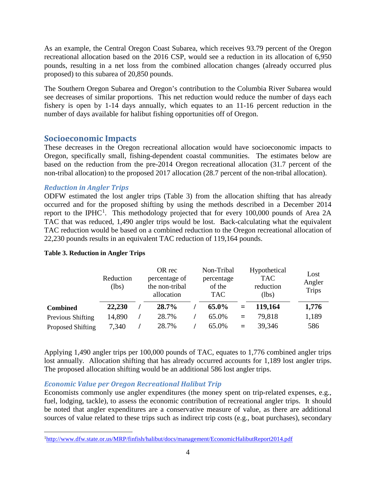As an example, the Central Oregon Coast Subarea, which receives 93.79 percent of the Oregon recreational allocation based on the 2016 CSP, would see a reduction in its allocation of 6,950 pounds, resulting in a net loss from the combined allocation changes (already occurred plus proposed) to this subarea of 20,850 pounds.

The Southern Oregon Subarea and Oregon's contribution to the Columbia River Subarea would see decreases of similar proportions. This net reduction would reduce the number of days each fishery is open by 1-14 days annually, which equates to an 11-16 percent reduction in the number of days available for halibut fishing opportunities off of Oregon.

## **Socioeconomic Impacts**

These decreases in the Oregon recreational allocation would have socioeconomic impacts to Oregon, specifically small, fishing-dependent coastal communities. The estimates below are based on the reduction from the pre-2014 Oregon recreational allocation (31.7 percent of the non-tribal allocation) to the proposed 2017 allocation (28.7 percent of the non-tribal allocation).

#### *Reduction in Angler Trips*

ODFW estimated the lost angler trips [\(Table 3\)](#page-3-0) from the allocation shifting that has already occurred and for the proposed shifting by using the methods described in a December 2014 report to the IPHC<sup>[1](#page-3-1)</sup>. This methodology projected that for every 100,000 pounds of Area 2A TAC that was reduced, 1,490 angler trips would be lost. Back-calculating what the equivalent TAC reduction would be based on a combined reduction to the Oregon recreational allocation of 22,230 pounds results in an equivalent TAC reduction of 119,164 pounds.

#### <span id="page-3-0"></span>**Table 3. Reduction in Angler Trips**

| Reduction<br>(lbs) |        | OR rec<br>percentage of<br>the non-tribal<br>allocation |  | Non-Tribal<br>percentage<br>of the<br><b>TAC</b> |     | Hypothetical<br><b>TAC</b><br>reduction<br>(lbs) | Lost<br>Angler<br><b>Trips</b> |  |
|--------------------|--------|---------------------------------------------------------|--|--------------------------------------------------|-----|--------------------------------------------------|--------------------------------|--|
| <b>Combined</b>    | 22,230 | 28.7%                                                   |  | 65.0%                                            | $=$ | 119,164                                          | 1,776                          |  |
| Previous Shifting  | 14,890 | 28.7%                                                   |  | 65.0%                                            | $=$ | 79,818                                           | 1,189                          |  |
| Proposed Shifting  | 7,340  | 28.7%                                                   |  | 65.0%                                            | $=$ | 39,346                                           | 586                            |  |

Applying 1,490 angler trips per 100,000 pounds of TAC, equates to 1,776 combined angler trips lost annually. Allocation shifting that has already occurred accounts for 1,189 lost angler trips. The proposed allocation shifting would be an additional 586 lost angler trips.

#### *Economic Value per Oregon Recreational Halibut Trip*

Economists commonly use angler expenditures (the money spent on trip-related expenses, e.g., fuel, lodging, tackle), to assess the economic contribution of recreational angler trips. It should be noted that angler expenditures are a conservative measure of value, as there are additional sources of value related to these trips such as indirect trip costs (e.g., boat purchases), secondary

<span id="page-3-1"></span> $\frac{1}{1}$ <http://www.dfw.state.or.us/MRP/finfish/halibut/docs/management/EconomicHalibutReport2014.pdf>